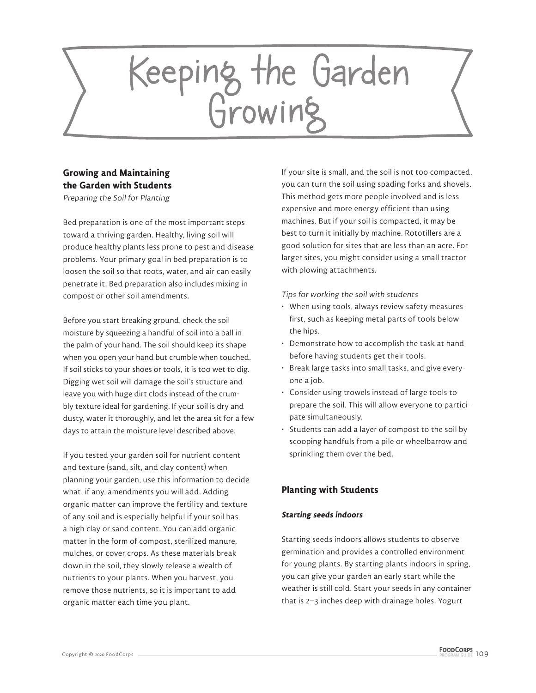# Keeping the Garden<br>Growing

# **Growing and Maintaining the Garden with Students**

Preparing the Soil for Planting

Bed preparation is one of the most important steps toward a thriving garden. Healthy, living soil will produce healthy plants less prone to pest and disease problems. Your primary goal in bed preparation is to loosen the soil so that roots, water, and air can easily penetrate it. Bed preparation also includes mixing in compost or other soil amendments.

Before you start breaking ground, check the soil moisture by squeezing a handful of soil into a ball in the palm of your hand. The soil should keep its shape when you open your hand but crumble when touched. If soil sticks to your shoes or tools, it is too wet to dig. Digging wet soil will damage the soil's structure and leave you with huge dirt clods instead of the crumbly texture ideal for gardening. If your soil is dry and dusty, water it thoroughly, and let the area sit for a few days to attain the moisture level described above.

If you tested your garden soil for nutrient content and texture (sand, silt, and clay content) when planning your garden, use this information to decide what, if any, amendments you will add. Adding organic matter can improve the fertility and texture of any soil and is especially helpful if your soil has a high clay or sand content. You can add organic matter in the form of compost, sterilized manure, mulches, or cover crops. As these materials break down in the soil, they slowly release a wealth of nutrients to your plants. When you harvest, you remove those nutrients, so it is important to add organic matter each time you plant.

If your site is small, and the soil is not too compacted, you can turn the soil using spading forks and shovels. This method gets more people involved and is less expensive and more energy efficient than using machines. But if your soil is compacted, it may be best to turn it initially by machine. Rototillers are a good solution for sites that are less than an acre. For larger sites, you might consider using a small tractor with plowing attachments.

Tips for working the soil with students

- When using tools, always review safety measures first, such as keeping metal parts of tools below the hips.
- Demonstrate how to accomplish the task at hand before having students get their tools.
- Break large tasks into small tasks, and give everyone a job.
- Consider using trowels instead of large tools to prepare the soil. This will allow everyone to participate simultaneously.
- Students can add a layer of compost to the soil by scooping handfuls from a pile or wheelbarrow and sprinkling them over the bed.

# **Planting with Students**

# **Starting seeds indoors**

Starting seeds indoors allows students to observe germination and provides a controlled environment for young plants. By starting plants indoors in spring, you can give your garden an early start while the weather is still cold. Start your seeds in any container that is 2–3 inches deep with drainage holes. Yogurt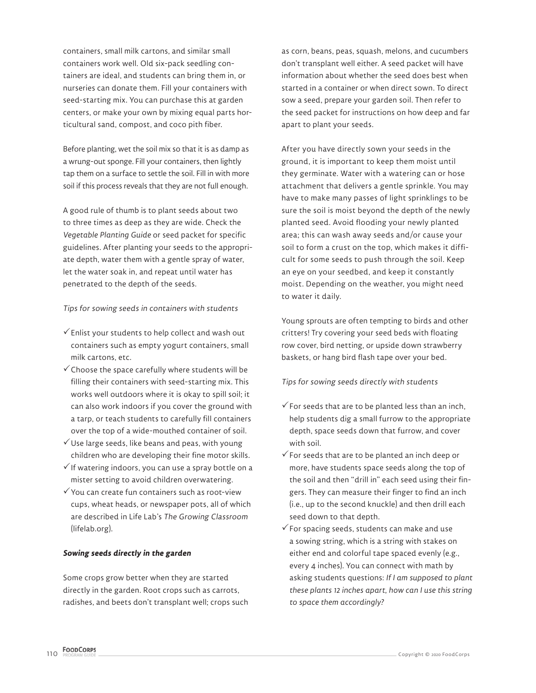containers, small milk cartons, and similar small containers work well. Old six-pack seedling containers are ideal, and students can bring them in, or nurseries can donate them. Fill your containers with seed-starting mix. You can purchase this at garden centers, or make your own by mixing equal parts horticultural sand, compost, and coco pith fiber.

Before planting, wet the soil mix so that it is as damp as a wrung-out sponge. Fill your containers, then lightly tap them on a surface to settle the soil. Fill in with more soil if this process reveals that they are not full enough.

A good rule of thumb is to plant seeds about two to three times as deep as they are wide. Check the *Vegetable Planting Guide* or seed packet for specific guidelines. After planting your seeds to the appropriate depth, water them with a gentle spray of water, let the water soak in, and repeat until water has penetrated to the depth of the seeds.

## Tips for sowing seeds in containers with students

- $\checkmark$  Enlist your students to help collect and wash out containers such as empty yogurt containers, small milk cartons, etc.
- $\checkmark$  Choose the space carefully where students will be filling their containers with seed-starting mix. This works well outdoors where it is okay to spill soil; it can also work indoors if you cover the ground with a tarp, or teach students to carefully fill containers over the top of a wide-mouthed container of soil.
- $\checkmark$  Use large seeds, like beans and peas, with young children who are developing their fine motor skills.
- $\checkmark$  If watering indoors, you can use a spray bottle on a mister setting to avoid children overwatering.
- $\checkmark$  You can create fun containers such as root-view cups, wheat heads, or newspaper pots, all of which are described in Life Lab's The Growing Classroom (lifelab.org).

#### **Sowing seeds directly in the garden**

Some crops grow better when they are started directly in the garden. Root crops such as carrots, radishes, and beets don't transplant well; crops such as corn, beans, peas, squash, melons, and cucumbers don't transplant well either. A seed packet will have information about whether the seed does best when started in a container or when direct sown. To direct sow a seed, prepare your garden soil. Then refer to the seed packet for instructions on how deep and far apart to plant your seeds.

After you have directly sown your seeds in the ground, it is important to keep them moist until they germinate. Water with a watering can or hose attachment that delivers a gentle sprinkle. You may have to make many passes of light sprinklings to be sure the soil is moist beyond the depth of the newly planted seed. Avoid flooding your newly planted area; this can wash away seeds and/or cause your soil to form a crust on the top, which makes it difficult for some seeds to push through the soil. Keep an eye on your seedbed, and keep it constantly moist. Depending on the weather, you might need to water it daily.

Young sprouts are often tempting to birds and other critters! Try covering your seed beds with floating row cover, bird netting, or upside down strawberry baskets, or hang bird flash tape over your bed.

#### Tips for sowing seeds directly with students

- $\checkmark$  For seeds that are to be planted less than an inch, help students dig a small furrow to the appropriate depth, space seeds down that furrow, and cover with soil.
- $\checkmark$  For seeds that are to be planted an inch deep or more, have students space seeds along the top of the soil and then "drill in" each seed using their fingers. They can measure their finger to find an inch (i.e., up to the second knuckle) and then drill each seed down to that depth.
- $\checkmark$  For spacing seeds, students can make and use a sowing string, which is a string with stakes on either end and colorful tape spaced evenly (e.g., every 4 inches). You can connect with math by asking students questions: *If I am supposed to plant these plants 12 inches apart, how can I use this string to space them accordingly?*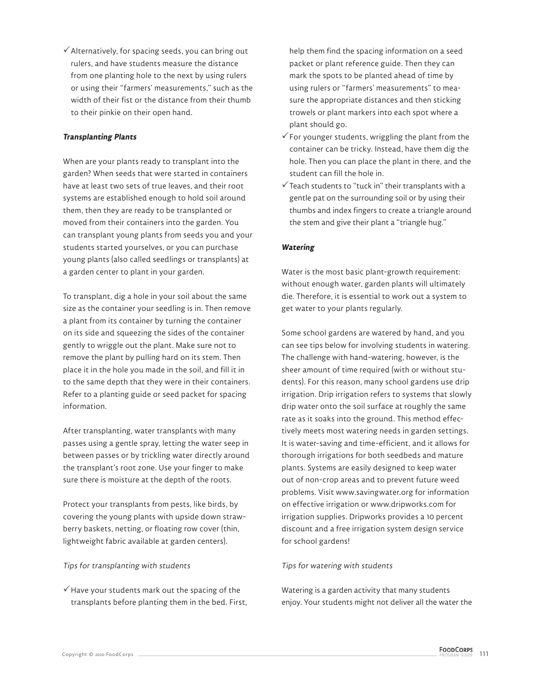$\checkmark$  Alternatively, for spacing seeds, you can bring out rulers, and have students measure the distance from one planting hole to the next by using rulers or using their "farmers' measurements," such as the width of their fist or the distance from their thumb to their pinkie on their open hand.

# **Transplanting Plants**

When are your plants ready to transplant into the garden? When seeds that were started in containers have at least two sets of true leaves, and their root systems are established enough to hold soil around them, then they are ready to be transplanted or moved from their containers into the garden. You can transplant young plants from seeds you and your students started yourselves, or you can purchase young plants (also called seedlings or transplants) at a garden center to plant in your garden.

To transplant, dig a hole in your soil about the same size as the container your seedling is in. Then remove a plant from its container by turning the container on its side and squeezing the sides of the container gently to wriggle out the plant. Make sure not to remove the plant by pulling hard on its stem. Then place it in the hole you made in the soil, and fill it in to the same depth that they were in their containers. Refer to a planting guide or seed packet for spacing information.

After transplanting, water transplants with many passes using a gentle spray, letting the water seep in between passes or by trickling water directly around the transplant's root zone. Use your finger to make sure there is moisture at the depth of the roots.

Protect your transplants from pests, like birds, by covering the young plants with upside down strawberry baskets, netting, or floating row cover (thin, lightweight fabric available at garden centers).

#### Tips for transplanting with students

 $\checkmark$  Have your students mark out the spacing of the transplants before planting them in the bed. First, help them find the spacing information on a seed packet or plant reference guide. Then they can mark the spots to be planted ahead of time by using rulers or "farmers' measurements" to measure the appropriate distances and then sticking trowels or plant markers into each spot where a plant should go.

- $\checkmark$  For younger students, wriggling the plant from the container can be tricky. Instead, have them dig the hole. Then you can place the plant in there, and the student can fill the hole in.
- $\checkmark$  Teach students to "tuck in" their transplants with a gentle pat on the surrounding soil or by using their thumbs and index fingers to create a triangle around the stem and give their plant a "triangle hug."

## **Watering**

Water is the most basic plant-growth requirement: without enough water, garden plants will ultimately die. Therefore, it is essential to work out a system to get water to your plants regularly.

Some school gardens are watered by hand, and you can see tips below for involving students in watering. The challenge with hand-watering, however, is the sheer amount of time required (with or without students). For this reason, many school gardens use drip irrigation. Drip irrigation refers to systems that slowly drip water onto the soil surface at roughly the same rate as it soaks into the ground. This method effectively meets most watering needs in garden settings. It is water-saving and time-efficient, and it allows for thorough irrigations for both seedbeds and mature plants. Systems are easily designed to keep water out of non-crop areas and to prevent future weed problems. Visit www.savingwater.org for information on effective irrigation or www.dripworks.com for irrigation supplies. Dripworks provides a 10 percent discount and a free irrigation system design service for school gardens!

#### Tips for watering with students

Watering is a garden activity that many students enjoy. Your students might not deliver all the water the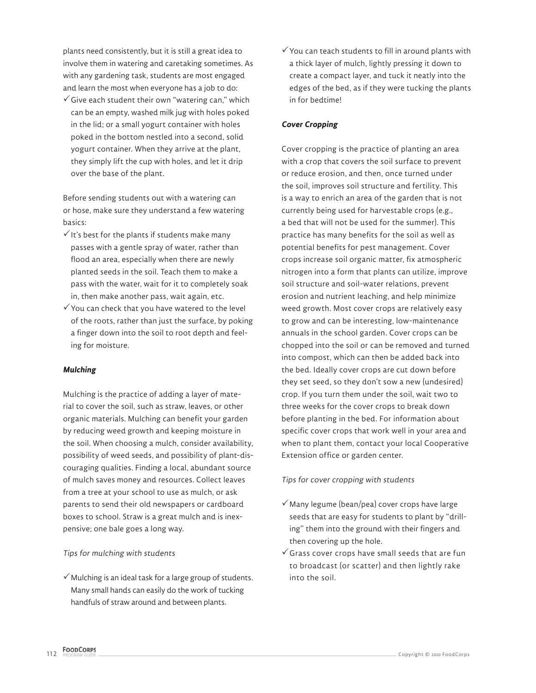plants need consistently, but it is still a great idea to involve them in watering and caretaking sometimes. As with any gardening task, students are most engaged and learn the most when everyone has a job to do:

 $\checkmark$  Give each student their own "watering can," which can be an empty, washed milk jug with holes poked in the lid; or a small yogurt container with holes poked in the bottom nestled into a second, solid yogurt container. When they arrive at the plant, they simply lift the cup with holes, and let it drip over the base of the plant.

Before sending students out with a watering can or hose, make sure they understand a few watering basics:

- $\checkmark$  It's best for the plants if students make many passes with a gentle spray of water, rather than flood an area, especially when there are newly planted seeds in the soil. Teach them to make a pass with the water, wait for it to completely soak in, then make another pass, wait again, etc.
- $\checkmark$  You can check that you have watered to the level of the roots, rather than just the surface, by poking a finger down into the soil to root depth and feeling for moisture.

# **Mulching**

Mulching is the practice of adding a layer of material to cover the soil, such as straw, leaves, or other organic materials. Mulching can benefit your garden by reducing weed growth and keeping moisture in the soil. When choosing a mulch, consider availability, possibility of weed seeds, and possibility of plant-discouraging qualities. Finding a local, abundant source of mulch saves money and resources. Collect leaves from a tree at your school to use as mulch, or ask parents to send their old newspapers or cardboard boxes to school. Straw is a great mulch and is inexpensive; one bale goes a long way.

# Tips for mulching with students

 $\checkmark$  Mulching is an ideal task for a large group of students. Many small hands can easily do the work of tucking handfuls of straw around and between plants.

 $\checkmark$  You can teach students to fill in around plants with a thick layer of mulch, lightly pressing it down to create a compact layer, and tuck it neatly into the edges of the bed, as if they were tucking the plants in for bedtime!

# **Cover Cropping**

Cover cropping is the practice of planting an area with a crop that covers the soil surface to prevent or reduce erosion, and then, once turned under the soil, improves soil structure and fertility. This is a way to enrich an area of the garden that is not currently being used for harvestable crops (e.g., a bed that will not be used for the summer). This practice has many benefits for the soil as well as potential benefits for pest management. Cover crops increase soil organic matter, fix atmospheric nitrogen into a form that plants can utilize, improve soil structure and soil-water relations, prevent erosion and nutrient leaching, and help minimize weed growth. Most cover crops are relatively easy to grow and can be interesting, low-maintenance annuals in the school garden. Cover crops can be chopped into the soil or can be removed and turned into compost, which can then be added back into the bed. Ideally cover crops are cut down before they set seed, so they don't sow a new (undesired) crop. If you turn them under the soil, wait two to three weeks for the cover crops to break down before planting in the bed. For information about specific cover crops that work well in your area and when to plant them, contact your local Cooperative Extension office or garden center.

# Tips for cover cropping with students

- $\checkmark$  Many legume (bean/pea) cover crops have large seeds that are easy for students to plant by "drilling" them into the ground with their fingers and then covering up the hole.
- $\checkmark$  Grass cover crops have small seeds that are fun to broadcast (or scatter) and then lightly rake into the soil.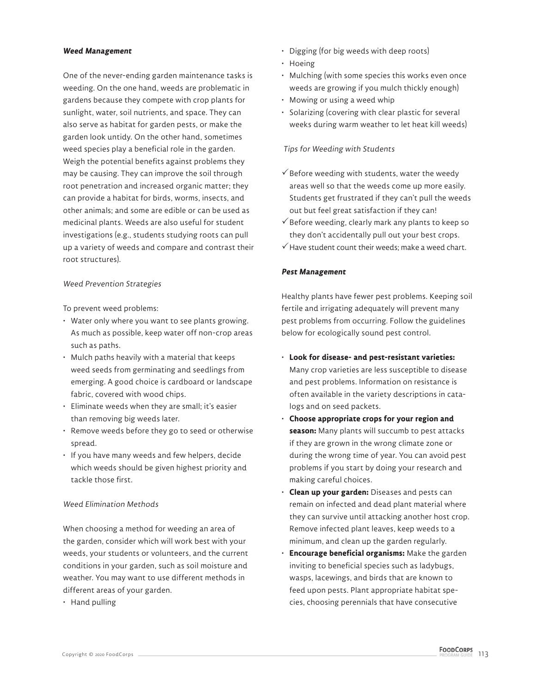#### **Weed Management**

One of the never-ending garden maintenance tasks is weeding. On the one hand, weeds are problematic in gardens because they compete with crop plants for sunlight, water, soil nutrients, and space. They can also serve as habitat for garden pests, or make the garden look untidy. On the other hand, sometimes weed species play a beneficial role in the garden. Weigh the potential benefits against problems they may be causing. They can improve the soil through root penetration and increased organic matter; they can provide a habitat for birds, worms, insects, and other animals; and some are edible or can be used as medicinal plants. Weeds are also useful for student investigations (e.g., students studying roots can pull up a variety of weeds and compare and contrast their root structures).

#### Weed Prevention Strategies

To prevent weed problems:

- Water only where you want to see plants growing. As much as possible, keep water off non-crop areas such as paths.
- Mulch paths heavily with a material that keeps weed seeds from germinating and seedlings from emerging. A good choice is cardboard or landscape fabric, covered with wood chips.
- Eliminate weeds when they are small; it's easier than removing big weeds later.
- Remove weeds before they go to seed or otherwise spread.
- If you have many weeds and few helpers, decide which weeds should be given highest priority and tackle those first.

## Weed Elimination Methods

When choosing a method for weeding an area of the garden, consider which will work best with your weeds, your students or volunteers, and the current conditions in your garden, such as soil moisture and weather. You may want to use different methods in different areas of your garden.

• Hand pulling

- Digging (for big weeds with deep roots)
- Hoeing
- Mulching (with some species this works even once weeds are growing if you mulch thickly enough)
- Mowing or using a weed whip
- Solarizing (covering with clear plastic for several weeks during warm weather to let heat kill weeds)

#### Tips for Weeding with Students

- $\checkmark$  Before weeding with students, water the weedy areas well so that the weeds come up more easily. Students get frustrated if they can't pull the weeds out but feel great satisfaction if they can!
- $\checkmark$  Before weeding, clearly mark any plants to keep so they don't accidentally pull out your best crops.
- $\checkmark$  Have student count their weeds: make a weed chart.

#### **Pest Management**

Healthy plants have fewer pest problems. Keeping soil fertile and irrigating adequately will prevent many pest problems from occurring. Follow the guidelines below for ecologically sound pest control.

- **Look for disease- and pest-resistant varieties:**  Many crop varieties are less susceptible to disease and pest problems. Information on resistance is often available in the variety descriptions in catalogs and on seed packets.
- **Choose appropriate crops for your region and season:** Many plants will succumb to pest attacks if they are grown in the wrong climate zone or during the wrong time of year. You can avoid pest problems if you start by doing your research and making careful choices.
- **Clean up your garden:** Diseases and pests can remain on infected and dead plant material where they can survive until attacking another host crop. Remove infected plant leaves, keep weeds to a minimum, and clean up the garden regularly.
- **Encourage beneficial organisms:** Make the garden inviting to beneficial species such as ladybugs, wasps, lacewings, and birds that are known to feed upon pests. Plant appropriate habitat species, choosing perennials that have consecutive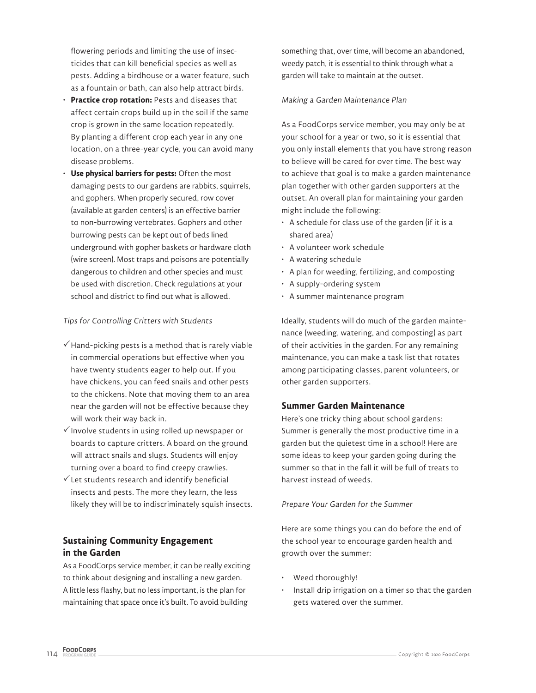flowering periods and limiting the use of insecticides that can kill beneficial species as well as pests. Adding a birdhouse or a water feature, such as a fountain or bath, can also help attract birds.

- **Practice crop rotation: Pests and diseases that** affect certain crops build up in the soil if the same crop is grown in the same location repeatedly. By planting a different crop each year in any one location, on a three-year cycle, you can avoid many disease problems.
- **Use physical barriers for pests: Often the most** damaging pests to our gardens are rabbits, squirrels, and gophers. When properly secured, row cover (available at garden centers) is an effective barrier to non-burrowing vertebrates. Gophers and other burrowing pests can be kept out of beds lined underground with gopher baskets or hardware cloth (wire screen). Most traps and poisons are potentially dangerous to children and other species and must be used with discretion. Check regulations at your school and district to find out what is allowed.

## Tips for Controlling Critters with Students

- $\checkmark$  Hand-picking pests is a method that is rarely viable in commercial operations but effective when you have twenty students eager to help out. If you have chickens, you can feed snails and other pests to the chickens. Note that moving them to an area near the garden will not be effective because they will work their way back in.
- $\checkmark$  Involve students in using rolled up newspaper or boards to capture critters. A board on the ground will attract snails and slugs. Students will enjoy turning over a board to find creepy crawlies.
- $\checkmark$  Let students research and identify beneficial insects and pests. The more they learn, the less likely they will be to indiscriminately squish insects.

# **Sustaining Community Engagement in the Garden**

As a FoodCorps service member, it can be really exciting to think about designing and installing a new garden. A little less flashy, but no less important, is the plan for maintaining that space once it's built. To avoid building

something that, over time, will become an abandoned, weedy patch, it is essential to think through what a garden will take to maintain at the outset.

## Making a Garden Maintenance Plan

As a FoodCorps service member, you may only be at your school for a year or two, so it is essential that you only install elements that you have strong reason to believe will be cared for over time. The best way to achieve that goal is to make a garden maintenance plan together with other garden supporters at the outset. An overall plan for maintaining your garden might include the following:

- A schedule for class use of the garden (if it is a shared area)
- A volunteer work schedule
- A watering schedule
- A plan for weeding, fertilizing, and composting
- A supply-ordering system
- A summer maintenance program

Ideally, students will do much of the garden maintenance (weeding, watering, and composting) as part of their activities in the garden. For any remaining maintenance, you can make a task list that rotates among participating classes, parent volunteers, or other garden supporters.

# **Summer Garden Maintenance**

Here's one tricky thing about school gardens: Summer is generally the most productive time in a garden but the quietest time in a school! Here are some ideas to keep your garden going during the summer so that in the fall it will be full of treats to harvest instead of weeds.

#### Prepare Your Garden for the Summer

Here are some things you can do before the end of the school year to encourage garden health and growth over the summer:

- Weed thoroughly!
- Install drip irrigation on a timer so that the garden gets watered over the summer.